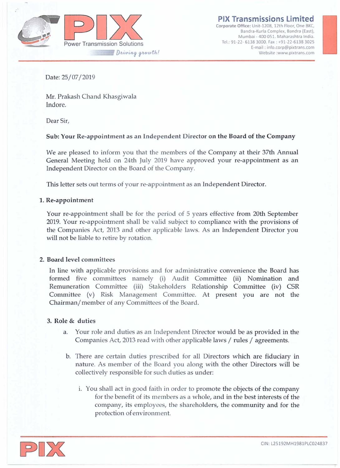

**PIX Transmissions limited**

**Corporate Office: Unit-120S, 12th Floor, One BKe, Bandra-Kurla Complex, Sandra (East), Mumbai - 400051. Maharashtra India.** Tel: 91·22· 6138 3000. Fax: +91·22·6138 3025 **E-mail: [info.corp@pixtrans.com](mailto:info.corp@pixtrans.com) issions Limited**<br> **t**-1208, 12th Floor, One BKC,<br>
turla Complex, Bandra (East),<br>
400 051. Maharashtra India.<br>
2000. Fax : +91-22-6138 3025<br>
ail : info.corp@pixtrans.com<br>
Website [:www.pixtrans.com](http://:www.pixtrans.com)

Date: 25/07/2019

Mr. Prakash Chand Khasgiwala Indore.

Dear Sir,

## Sub: Your Re-appointment as an Independent Director on the Board of the Company

We are pleased to inform you that the members of the Company at their 37th Annual General Meeting held on 24th July 2019 have approved your re-appointment as an Independent Director on the Board of the Company.

This letter sets out terms of your re-appointment as an Independent Director.

#### 1. Re-appointment

Your re-appointment shall be for the period of  $5$  years effective from 20th September 2019. Your re-appointment shall be valid subject to compliance with the provisions of the Companies Act, 2013 and other applicable laws. As an Independent Director you will not be liable to retire by rotation.

### 2. Board level committees

In line with applicable provisions and for administrative convenience the Board has formed five committees namely (i) Audit Committee (ii) Nomination and Remuneration Committee (iii) Stakeholders Relationship Committee (iv) CSR Committee (v) Risk Management Committee. At present you are not the Chairman/member of any Committees of the Board.

### 3. Role & duties

- a. Your role and duties as an Independent Director would be as provided in the Companies Act, 2013 read with other applicable laws / rules / agreements.
- b. There are certain duties prescribed for aU Directors which are fiduciary in nature. As member of the Board you along with the other Directors will be collectively responsible for such duties as under:
	- i. You shall act in good faith in order to promote the objects of the company for the benefit of its members as a whole, and in the best interests of the company, its employees, the shareholders, the community and for the protection of environment.